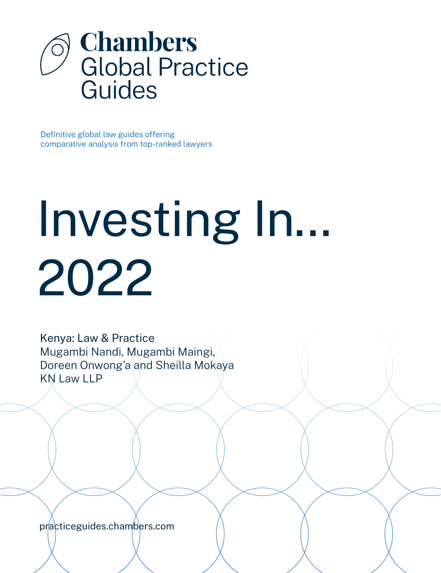

Definitive global law guides offering comparative analysis from top-ranked lawyers

# Investing In... 2022

Kenya: Law & Practice Mugambi Nandi, Mugambi Maingi, Doreen Onwong'a and Sheilla Mokaya KN Law LLP

[practiceguides.chambers.com](http://practiceguides.chambers.com)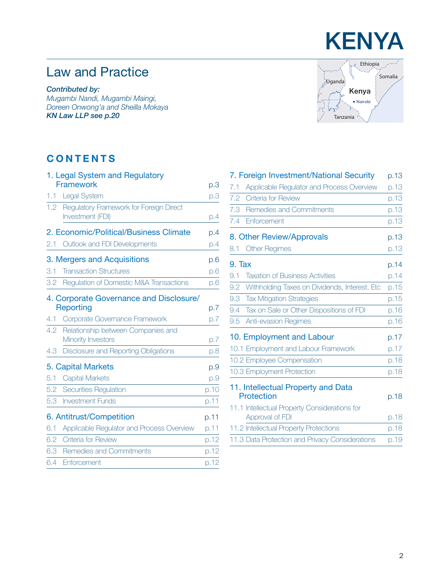# Law and Practice

*Contributed by:*

*Mugambi Nandi, Mugambi Maingi, Doreen Onwong'a and Sheilla Mokaya KN Law LLP [see p.20](#page-19-0)*

# **CONTENTS**

|     | 1. Legal System and Regulatory<br><b>Framework</b>          |      |
|-----|-------------------------------------------------------------|------|
|     |                                                             | p.3  |
| 1.1 | Legal System                                                | p.3  |
| 1.2 | Regulatory Framework for Foreign Direct<br>Investment (FDI) | p.4  |
|     | 2. Economic/Political/Business Climate                      | p.4  |
| 2.1 | Outlook and FDI Developments                                | p.4  |
|     | 3. Mergers and Acquisitions                                 | p.6  |
| 3.1 | <b>Transaction Structures</b>                               | p.6  |
| 3.2 | Regulation of Domestic M&A Transactions                     | p.6  |
|     | 4. Corporate Governance and Disclosure/                     |      |
|     | Reporting                                                   | p.7  |
| 4.1 | Corporate Governance Framework                              | p.7  |
| 4.2 | Relationship between Companies and<br>Minority Investors    | p.7  |
| 4.3 | Disclosure and Reporting Obligations                        | p.8  |
|     | 5. Capital Markets                                          | p.9  |
| 5.1 | <b>Capital Markets</b>                                      | p.9  |
| 5.2 | Securities Regulation                                       | p.10 |
| 5.3 | <b>Investment Funds</b>                                     | p.11 |
|     | 6. Antitrust/Competition                                    | p.11 |
| 6.1 | Applicable Regulator and Process Overview                   | p.11 |
| 6.2 | Criteria for Review                                         | p.12 |
| 6.3 | Remedies and Commitments                                    | p.12 |
| 6.4 | Enforcement                                                 | p.12 |
|     |                                                             |      |



|        | 7. Foreign Investment/National Security         | p.13 |
|--------|-------------------------------------------------|------|
| 7.1    | Applicable Regulator and Process Overview       | p.13 |
| 7.2    | <b>Criteria for Review</b>                      | p.13 |
| 7.3    | Remedies and Commitments                        | p.13 |
| 7.4    | Enforcement                                     | p.13 |
|        | 8. Other Review/Approvals                       | p.13 |
| 8.1    | <b>Other Regimes</b>                            | p.13 |
| 9. Tax |                                                 | p.14 |
| 9.1    | <b>Taxation of Business Activities</b>          | p.14 |
| 9.2    | Withholding Taxes on Dividends, Interest, Etc.  | p.15 |
| 9.3    | <b>Tax Mitigation Strategies</b>                | p.15 |
| 9.4    | Tax on Sale or Other Dispositions of FDI        | p.16 |
| 9.5    | Anti-evasion Regimes                            | p.16 |
|        | 10. Employment and Labour                       | p.17 |
|        | 10.1 Employment and Labour Framework            | p.17 |
|        | 10.2 Employee Compensation                      | p.18 |
|        | 10.3 Employment Protection                      | p.18 |
|        | 11. Intellectual Property and Data              |      |
|        | Protection                                      | p.18 |
|        | 11.1 Intellectual Property Considerations for   |      |
|        | Approval of FDI                                 | p.18 |
|        | 11.2 Intellectual Property Protections          | p.18 |
|        | 11.3 Data Protection and Privacy Considerations | p.19 |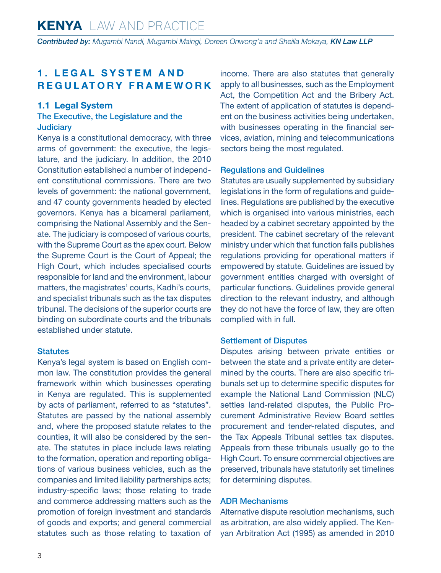## <span id="page-2-0"></span>**1. LEGAL SYSTEM AND REGULATORY FRAMEWORK**

#### **1.1 Legal System**

#### The Executive, the Legislature and the **Judiciary**

Kenya is a constitutional democracy, with three arms of government: the executive, the legislature, and the judiciary. In addition, the 2010 Constitution established a number of independent constitutional commissions. There are two levels of government: the national government, and 47 county governments headed by elected governors. Kenya has a bicameral parliament, comprising the National Assembly and the Senate. The judiciary is composed of various courts, with the Supreme Court as the apex court. Below the Supreme Court is the Court of Appeal; the High Court, which includes specialised courts responsible for land and the environment, labour matters, the magistrates' courts, Kadhi's courts, and specialist tribunals such as the tax disputes tribunal. The decisions of the superior courts are binding on subordinate courts and the tribunals established under statute.

#### **Statutes**

Kenya's legal system is based on English common law. The constitution provides the general framework within which businesses operating in Kenya are regulated. This is supplemented by acts of parliament, referred to as "statutes". Statutes are passed by the national assembly and, where the proposed statute relates to the counties, it will also be considered by the senate. The statutes in place include laws relating to the formation, operation and reporting obligations of various business vehicles, such as the companies and limited liability partnerships acts; industry-specific laws; those relating to trade and commerce addressing matters such as the promotion of foreign investment and standards of goods and exports; and general commercial statutes such as those relating to taxation of income. There are also statutes that generally apply to all businesses, such as the Employment Act, the Competition Act and the Bribery Act. The extent of application of statutes is dependent on the business activities being undertaken, with businesses operating in the financial services, aviation, mining and telecommunications sectors being the most regulated.

#### Regulations and Guidelines

Statutes are usually supplemented by subsidiary legislations in the form of regulations and guidelines. Regulations are published by the executive which is organised into various ministries, each headed by a cabinet secretary appointed by the president. The cabinet secretary of the relevant ministry under which that function falls publishes regulations providing for operational matters if empowered by statute. Guidelines are issued by government entities charged with oversight of particular functions. Guidelines provide general direction to the relevant industry, and although they do not have the force of law, they are often complied with in full.

#### Settlement of Disputes

Disputes arising between private entities or between the state and a private entity are determined by the courts. There are also specific tribunals set up to determine specific disputes for example the National Land Commission (NLC) settles land-related disputes, the Public Procurement Administrative Review Board settles procurement and tender-related disputes, and the Tax Appeals Tribunal settles tax disputes. Appeals from these tribunals usually go to the High Court. To ensure commercial objectives are preserved, tribunals have statutorily set timelines for determining disputes.

#### ADR Mechanisms

Alternative dispute resolution mechanisms, such as arbitration, are also widely applied. The Kenyan Arbitration Act (1995) as amended in 2010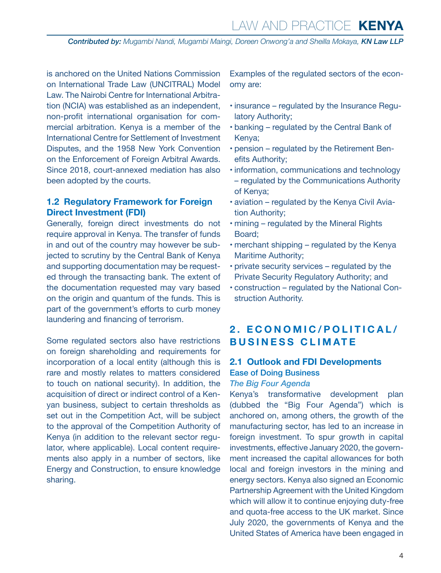<span id="page-3-0"></span>is anchored on the United Nations Commission on International Trade Law (UNCITRAL) Model Law. The Nairobi Centre for International Arbitration (NCIA) was established as an independent, non-profit international organisation for commercial arbitration. Kenya is a member of the International Centre for Settlement of Investment Disputes, and the 1958 New York Convention on the Enforcement of Foreign Arbitral Awards. Since 2018, court-annexed mediation has also been adopted by the courts.

#### **1.2 Regulatory Framework for Foreign Direct Investment (FDI)**

Generally, foreign direct investments do not require approval in Kenya. The transfer of funds in and out of the country may however be subjected to scrutiny by the Central Bank of Kenya and supporting documentation may be requested through the transacting bank. The extent of the documentation requested may vary based on the origin and quantum of the funds. This is part of the government's efforts to curb money laundering and financing of terrorism.

Some regulated sectors also have restrictions on foreign shareholding and requirements for incorporation of a local entity (although this is rare and mostly relates to matters considered to touch on national security). In addition, the acquisition of direct or indirect control of a Kenyan business, subject to certain thresholds as set out in the Competition Act, will be subject to the approval of the Competition Authority of Kenya (in addition to the relevant sector regulator, where applicable). Local content requirements also apply in a number of sectors, like Energy and Construction, to ensure knowledge sharing.

Examples of the regulated sectors of the economy are:

- insurance regulated by the Insurance Regulatory Authority;
- banking regulated by the Central Bank of Kenya;
- pension regulated by the Retirement Benefits Authority;
- information, communications and technology – regulated by the Communications Authority of Kenya;
- aviation regulated by the Kenya Civil Aviation Authority;
- mining regulated by the Mineral Rights Board;
- merchant shipping regulated by the Kenya Maritime Authority;
- private security services regulated by the Private Security Regulatory Authority; and
- construction regulated by the National Construction Authority.

## **2. ECONOMIC/POLITICAL/ BUSINESS CLIMATE**

# **2.1 Outlook and FDI Developments**  Ease of Doing Business

#### *The Big Four Agenda*

Kenya's transformative development plan (dubbed the "Big Four Agenda") which is anchored on, among others, the growth of the manufacturing sector, has led to an increase in foreign investment. To spur growth in capital investments, effective January 2020, the government increased the capital allowances for both local and foreign investors in the mining and energy sectors. Kenya also signed an Economic Partnership Agreement with the United Kingdom which will allow it to continue enjoying duty-free and quota-free access to the UK market. Since July 2020, the governments of Kenya and the United States of America have been engaged in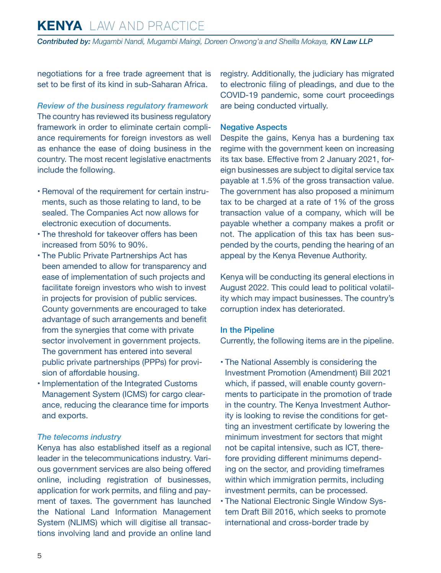*Contributed by: Mugambi Nandi, Mugambi Maingi, Doreen Onwong'a and Sheilla Mokaya, KN Law LLP*

negotiations for a free trade agreement that is set to be first of its kind in sub-Saharan Africa.

*Review of the business regulatory framework* The country has reviewed its business regulatory framework in order to eliminate certain compliance requirements for foreign investors as well as enhance the ease of doing business in the country. The most recent legislative enactments include the following.

- Removal of the requirement for certain instruments, such as those relating to land, to be sealed. The Companies Act now allows for electronic execution of documents.
- The threshold for takeover offers has been increased from 50% to 90%.
- The Public Private Partnerships Act has been amended to allow for transparency and ease of implementation of such projects and facilitate foreign investors who wish to invest in projects for provision of public services. County governments are encouraged to take advantage of such arrangements and benefit from the synergies that come with private sector involvement in government projects. The government has entered into several public private partnerships (PPPs) for provision of affordable housing.
- Implementation of the Integrated Customs Management System (ICMS) for cargo clearance, reducing the clearance time for imports and exports.

#### *The telecoms industry*

Kenya has also established itself as a regional leader in the telecommunications industry. Various government services are also being offered online, including registration of businesses, application for work permits, and filing and payment of taxes. The government has launched the National Land Information Management System (NLIMS) which will digitise all transactions involving land and provide an online land registry. Additionally, the judiciary has migrated to electronic filing of pleadings, and due to the COVID-19 pandemic, some court proceedings are being conducted virtually.

#### Negative Aspects

Despite the gains, Kenya has a burdening tax regime with the government keen on increasing its tax base. Effective from 2 January 2021, foreign businesses are subject to digital service tax payable at 1.5% of the gross transaction value. The government has also proposed a minimum tax to be charged at a rate of 1% of the gross transaction value of a company, which will be payable whether a company makes a profit or not. The application of this tax has been suspended by the courts, pending the hearing of an appeal by the Kenya Revenue Authority.

Kenya will be conducting its general elections in August 2022. This could lead to political volatility which may impact businesses. The country's corruption index has deteriorated.

#### In the Pipeline

Currently, the following items are in the pipeline.

- The National Assembly is considering the Investment Promotion (Amendment) Bill 2021 which, if passed, will enable county governments to participate in the promotion of trade in the country. The Kenya Investment Authority is looking to revise the conditions for getting an investment certificate by lowering the minimum investment for sectors that might not be capital intensive, such as ICT, therefore providing different minimums depending on the sector, and providing timeframes within which immigration permits, including investment permits, can be processed.
- The National Electronic Single Window System Draft Bill 2016, which seeks to promote international and cross-border trade by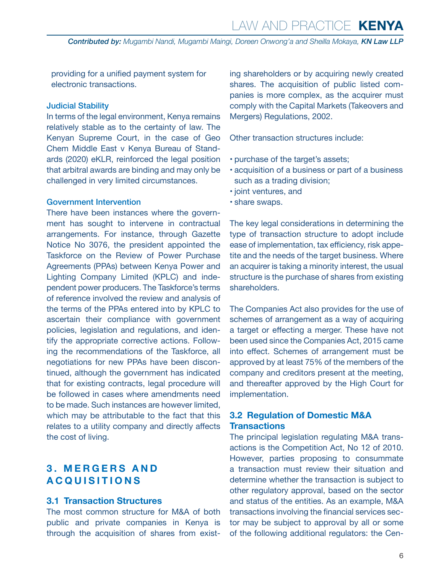# Law and Practice **KENYA**

<span id="page-5-0"></span>*Contributed by: Mugambi Nandi, Mugambi Maingi, Doreen Onwong'a and Sheilla Mokaya, KN Law LLP*

providing for a unified payment system for electronic transactions.

#### Judicial Stability

In terms of the legal environment, Kenya remains relatively stable as to the certainty of law. The Kenyan Supreme Court, in the case of Geo Chem Middle East v Kenya Bureau of Standards (2020) eKLR, reinforced the legal position that arbitral awards are binding and may only be challenged in very limited circumstances.

#### Government Intervention

There have been instances where the government has sought to intervene in contractual arrangements. For instance, through Gazette Notice No 3076, the president appointed the Taskforce on the Review of Power Purchase Agreements (PPAs) between Kenya Power and Lighting Company Limited (KPLC) and independent power producers. The Taskforce's terms of reference involved the review and analysis of the terms of the PPAs entered into by KPLC to ascertain their compliance with government policies, legislation and regulations, and identify the appropriate corrective actions. Following the recommendations of the Taskforce, all negotiations for new PPAs have been discontinued, although the government has indicated that for existing contracts, legal procedure will be followed in cases where amendments need to be made. Such instances are however limited, which may be attributable to the fact that this relates to a utility company and directly affects the cost of living.

## **3 . M E R G E R S A N D ACQUISITIONS**

#### **3.1 Transaction Structures**

The most common structure for M&A of both public and private companies in Kenya is through the acquisition of shares from existing shareholders or by acquiring newly created shares. The acquisition of public listed companies is more complex, as the acquirer must comply with the Capital Markets (Takeovers and Mergers) Regulations, 2002.

Other transaction structures include:

- purchase of the target's assets;
- acquisition of a business or part of a business such as a trading division;
- joint ventures, and
- share swaps.

The key legal considerations in determining the type of transaction structure to adopt include ease of implementation, tax efficiency, risk appetite and the needs of the target business. Where an acquirer is taking a minority interest, the usual structure is the purchase of shares from existing shareholders.

The Companies Act also provides for the use of schemes of arrangement as a way of acquiring a target or effecting a merger. These have not been used since the Companies Act, 2015 came into effect. Schemes of arrangement must be approved by at least 75% of the members of the company and creditors present at the meeting, and thereafter approved by the High Court for implementation.

#### **3.2 Regulation of Domestic M&A Transactions**

The principal legislation regulating M&A transactions is the Competition Act, No 12 of 2010. However, parties proposing to consummate a transaction must review their situation and determine whether the transaction is subject to other regulatory approval, based on the sector and status of the entities. As an example, M&A transactions involving the financial services sector may be subject to approval by all or some of the following additional regulators: the Cen-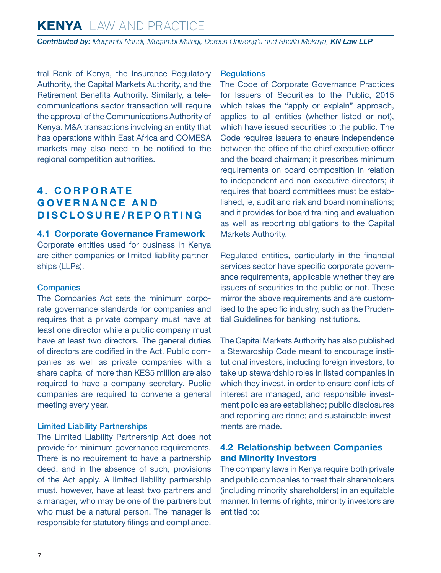<span id="page-6-0"></span>*Contributed by: Mugambi Nandi, Mugambi Maingi, Doreen Onwong'a and Sheilla Mokaya, KN Law LLP*

tral Bank of Kenya, the Insurance Regulatory Authority, the Capital Markets Authority, and the Retirement Benefits Authority. Similarly, a telecommunications sector transaction will require the approval of the Communications Authority of Kenya. M&A transactions involving an entity that has operations within East Africa and COMESA markets may also need to be notified to the regional competition authorities.

# **4 . C O R P O R AT E G O V E R N A N C E A N D DISCLOSURE/REPORTING**

#### **4.1 Corporate Governance Framework**

Corporate entities used for business in Kenya are either companies or limited liability partnerships (LLPs).

#### **Companies**

The Companies Act sets the minimum corporate governance standards for companies and requires that a private company must have at least one director while a public company must have at least two directors. The general duties of directors are codified in the Act. Public companies as well as private companies with a share capital of more than KES5 million are also required to have a company secretary. Public companies are required to convene a general meeting every year.

#### Limited Liability Partnerships

The Limited Liability Partnership Act does not provide for minimum governance requirements. There is no requirement to have a partnership deed, and in the absence of such, provisions of the Act apply. A limited liability partnership must, however, have at least two partners and a manager, who may be one of the partners but who must be a natural person. The manager is responsible for statutory filings and compliance.

#### **Requlations**

The Code of Corporate Governance Practices for Issuers of Securities to the Public, 2015 which takes the "apply or explain" approach, applies to all entities (whether listed or not), which have issued securities to the public. The Code requires issuers to ensure independence between the office of the chief executive officer and the board chairman; it prescribes minimum requirements on board composition in relation to independent and non-executive directors; it requires that board committees must be established, ie, audit and risk and board nominations; and it provides for board training and evaluation as well as reporting obligations to the Capital Markets Authority.

Regulated entities, particularly in the financial services sector have specific corporate governance requirements, applicable whether they are issuers of securities to the public or not. These mirror the above requirements and are customised to the specific industry, such as the Prudential Guidelines for banking institutions.

The Capital Markets Authority has also published a Stewardship Code meant to encourage institutional investors, including foreign investors, to take up stewardship roles in listed companies in which they invest, in order to ensure conflicts of interest are managed, and responsible investment policies are established; public disclosures and reporting are done; and sustainable investments are made.

#### **4.2 Relationship between Companies and Minority Investors**

The company laws in Kenya require both private and public companies to treat their shareholders (including minority shareholders) in an equitable manner. In terms of rights, minority investors are entitled to: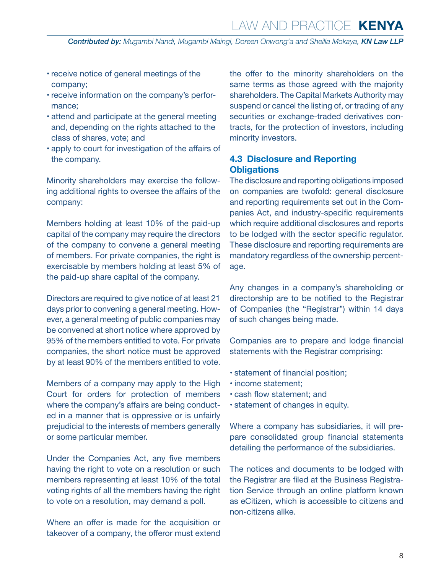- <span id="page-7-0"></span>• receive notice of general meetings of the company;
- receive information on the company's performance;
- attend and participate at the general meeting and, depending on the rights attached to the class of shares, vote; and
- apply to court for investigation of the affairs of the company.

Minority shareholders may exercise the following additional rights to oversee the affairs of the company:

Members holding at least 10% of the paid-up capital of the company may require the directors of the company to convene a general meeting of members. For private companies, the right is exercisable by members holding at least 5% of the paid-up share capital of the company.

Directors are required to give notice of at least 21 days prior to convening a general meeting. However, a general meeting of public companies may be convened at short notice where approved by 95% of the members entitled to vote. For private companies, the short notice must be approved by at least 90% of the members entitled to vote.

Members of a company may apply to the High Court for orders for protection of members where the company's affairs are being conducted in a manner that is oppressive or is unfairly prejudicial to the interests of members generally or some particular member.

Under the Companies Act, any five members having the right to vote on a resolution or such members representing at least 10% of the total voting rights of all the members having the right to vote on a resolution, may demand a poll.

Where an offer is made for the acquisition or takeover of a company, the offeror must extend

the offer to the minority shareholders on the same terms as those agreed with the majority shareholders. The Capital Markets Authority may suspend or cancel the listing of, or trading of any securities or exchange-traded derivatives contracts, for the protection of investors, including minority investors.

#### **4.3 Disclosure and Reporting Obligations**

The disclosure and reporting obligations imposed on companies are twofold: general disclosure and reporting requirements set out in the Companies Act, and industry-specific requirements which require additional disclosures and reports to be lodged with the sector specific regulator. These disclosure and reporting requirements are mandatory regardless of the ownership percentage.

Any changes in a company's shareholding or directorship are to be notified to the Registrar of Companies (the "Registrar") within 14 days of such changes being made.

Companies are to prepare and lodge financial statements with the Registrar comprising:

- statement of financial position;
- income statement;
- cash flow statement; and
- statement of changes in equity.

Where a company has subsidiaries, it will prepare consolidated group financial statements detailing the performance of the subsidiaries.

The notices and documents to be lodged with the Registrar are filed at the Business Registration Service through an online platform known as eCitizen, which is accessible to citizens and non-citizens alike.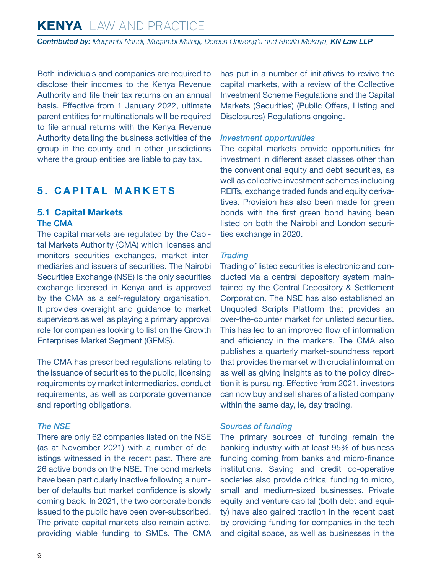<span id="page-8-0"></span>*Contributed by: Mugambi Nandi, Mugambi Maingi, Doreen Onwong'a and Sheilla Mokaya, KN Law LLP*

Both individuals and companies are required to disclose their incomes to the Kenya Revenue Authority and file their tax returns on an annual basis. Effective from 1 January 2022, ultimate parent entities for multinationals will be required to file annual returns with the Kenya Revenue Authority detailing the business activities of the group in the county and in other jurisdictions where the group entities are liable to pay tax.

## **5. CAPITAL MARKETS**

#### **5.1 Capital Markets** The CMA

The capital markets are regulated by the Capital Markets Authority (CMA) which licenses and monitors securities exchanges, market intermediaries and issuers of securities. The Nairobi Securities Exchange (NSE) is the only securities exchange licensed in Kenya and is approved by the CMA as a self-regulatory organisation. It provides oversight and guidance to market supervisors as well as playing a primary approval role for companies looking to list on the Growth Enterprises Market Segment (GEMS).

The CMA has prescribed regulations relating to the issuance of securities to the public, licensing requirements by market intermediaries, conduct requirements, as well as corporate governance and reporting obligations.

#### *The NSE*

There are only 62 companies listed on the NSE (as at November 2021) with a number of delistings witnessed in the recent past. There are 26 active bonds on the NSE. The bond markets have been particularly inactive following a number of defaults but market confidence is slowly coming back. In 2021, the two corporate bonds issued to the public have been over-subscribed. The private capital markets also remain active, providing viable funding to SMEs. The CMA has put in a number of initiatives to revive the capital markets, with a review of the Collective Investment Scheme Regulations and the Capital Markets (Securities) (Public Offers, Listing and Disclosures) Regulations ongoing.

#### *Investment opportunities*

The capital markets provide opportunities for investment in different asset classes other than the conventional equity and debt securities, as well as collective investment schemes including REITs, exchange traded funds and equity derivatives. Provision has also been made for green bonds with the first green bond having been listed on both the Nairobi and London securities exchange in 2020.

#### *Trading*

Trading of listed securities is electronic and conducted via a central depository system maintained by the Central Depository & Settlement Corporation. The NSE has also established an Unquoted Scripts Platform that provides an over-the-counter market for unlisted securities. This has led to an improved flow of information and efficiency in the markets. The CMA also publishes a quarterly market-soundness report that provides the market with crucial information as well as giving insights as to the policy direction it is pursuing. Effective from 2021, investors can now buy and sell shares of a listed company within the same day, ie, day trading.

#### *Sources of funding*

The primary sources of funding remain the banking industry with at least 95% of business funding coming from banks and micro-finance institutions. Saving and credit co-operative societies also provide critical funding to micro, small and medium-sized businesses. Private equity and venture capital (both debt and equity) have also gained traction in the recent past by providing funding for companies in the tech and digital space, as well as businesses in the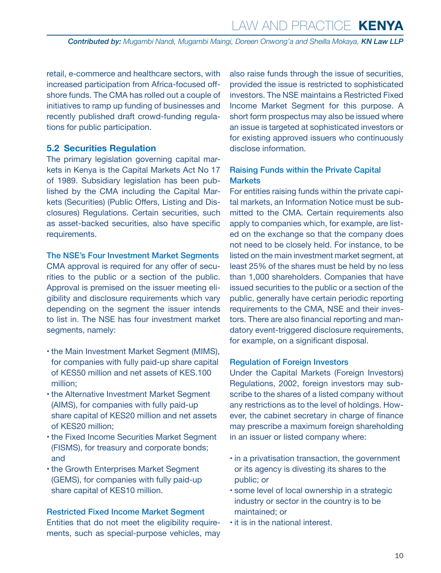<span id="page-9-0"></span>retail, e-commerce and healthcare sectors, with increased participation from Africa-focused offshore funds. The CMA has rolled out a couple of initiatives to ramp up funding of businesses and recently published draft crowd-funding regulations for public participation.

#### **5.2 Securities Regulation**

The primary legislation governing capital markets in Kenya is the Capital Markets Act No 17 of 1989. Subsidiary legislation has been published by the CMA including the Capital Markets (Securities) (Public Offers, Listing and Disclosures) Regulations. Certain securities, such as asset-backed securities, also have specific requirements.

#### The NSE's Four Investment Market Segments

CMA approval is required for any offer of securities to the public or a section of the public. Approval is premised on the issuer meeting eligibility and disclosure requirements which vary depending on the segment the issuer intends to list in. The NSE has four investment market segments, namely:

- the Main Investment Market Segment (MIMS), for companies with fully paid-up share capital of KES50 million and net assets of KES.100 million;
- the Alternative Investment Market Segment (AIMS), for companies with fully paid-up share capital of KES20 million and net assets of KES20 million;
- the Fixed Income Securities Market Segment (FISMS), for treasury and corporate bonds; and
- the Growth Enterprises Market Segment (GEMS), for companies with fully paid-up share capital of KES10 million.

#### Restricted Fixed Income Market Segment

Entities that do not meet the eligibility requirements, such as special-purpose vehicles, may also raise funds through the issue of securities, provided the issue is restricted to sophisticated investors. The NSE maintains a Restricted Fixed Income Market Segment for this purpose. A short form prospectus may also be issued where an issue is targeted at sophisticated investors or for existing approved issuers who continuously disclose information.

#### Raising Funds within the Private Capital **Markets**

For entities raising funds within the private capital markets, an Information Notice must be submitted to the CMA. Certain requirements also apply to companies which, for example, are listed on the exchange so that the company does not need to be closely held. For instance, to be listed on the main investment market segment, at least 25% of the shares must be held by no less than 1,000 shareholders. Companies that have issued securities to the public or a section of the public, generally have certain periodic reporting requirements to the CMA, NSE and their investors. There are also financial reporting and mandatory event-triggered disclosure requirements, for example, on a significant disposal.

#### Regulation of Foreign Investors

Under the Capital Markets (Foreign Investors) Regulations, 2002, foreign investors may subscribe to the shares of a listed company without any restrictions as to the level of holdings. However, the cabinet secretary in charge of finance may prescribe a maximum foreign shareholding in an issuer or listed company where:

- in a privatisation transaction, the government or its agency is divesting its shares to the public; or
- some level of local ownership in a strategic industry or sector in the country is to be maintained; or
- it is in the national interest.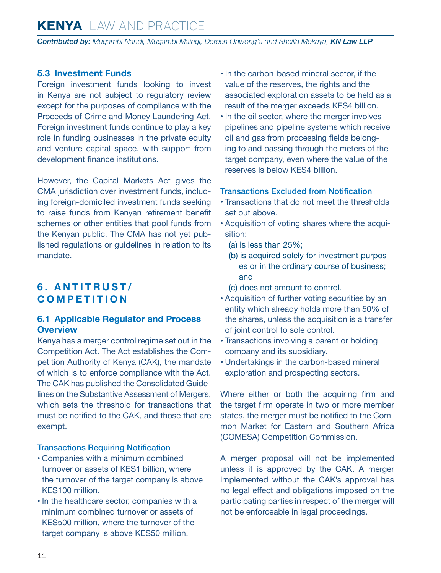<span id="page-10-0"></span>*Contributed by: Mugambi Nandi, Mugambi Maingi, Doreen Onwong'a and Sheilla Mokaya, KN Law LLP*

#### **5.3 Investment Funds**

Foreign investment funds looking to invest in Kenya are not subject to regulatory review except for the purposes of compliance with the Proceeds of Crime and Money Laundering Act. Foreign investment funds continue to play a key role in funding businesses in the private equity and venture capital space, with support from development finance institutions.

However, the Capital Markets Act gives the CMA jurisdiction over investment funds, including foreign-domiciled investment funds seeking to raise funds from Kenyan retirement benefit schemes or other entities that pool funds from the Kenyan public. The CMA has not yet published regulations or guidelines in relation to its mandate.

## **6. ANTITRUST/ COMPETITION**

#### **6.1 Applicable Regulator and Process Overview**

Kenya has a merger control regime set out in the Competition Act. The Act establishes the Competition Authority of Kenya (CAK), the mandate of which is to enforce compliance with the Act. The CAK has published the Consolidated Guidelines on the Substantive Assessment of Mergers, which sets the threshold for transactions that must be notified to the CAK, and those that are exempt.

#### Transactions Requiring Notification

- Companies with a minimum combined turnover or assets of KES1 billion, where the turnover of the target company is above KES100 million.
- In the healthcare sector, companies with a minimum combined turnover or assets of KES500 million, where the turnover of the target company is above KES50 million.
- In the carbon-based mineral sector, if the value of the reserves, the rights and the associated exploration assets to be held as a result of the merger exceeds KES4 billion.
- In the oil sector, where the merger involves pipelines and pipeline systems which receive oil and gas from processing fields belonging to and passing through the meters of the target company, even where the value of the reserves is below KES4 billion.

#### Transactions Excluded from Notification

- Transactions that do not meet the thresholds set out above.
- Acquisition of voting shares where the acquisition:
	- (a) is less than 25%;
	- (b) is acquired solely for investment purposes or in the ordinary course of business; and

(c) does not amount to control.

- Acquisition of further voting securities by an entity which already holds more than 50% of the shares, unless the acquisition is a transfer of joint control to sole control.
- Transactions involving a parent or holding company and its subsidiary.
- Undertakings in the carbon-based mineral exploration and prospecting sectors.

Where either or both the acquiring firm and the target firm operate in two or more member states, the merger must be notified to the Common Market for Eastern and Southern Africa (COMESA) Competition Commission.

A merger proposal will not be implemented unless it is approved by the CAK. A merger implemented without the CAK's approval has no legal effect and obligations imposed on the participating parties in respect of the merger will not be enforceable in legal proceedings.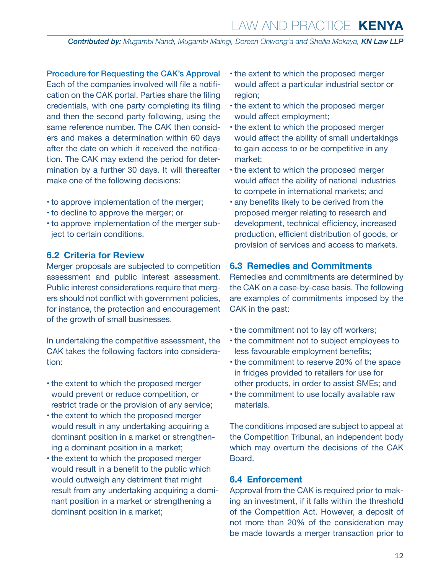# Law and Practice **KENYA**

<span id="page-11-0"></span>*Contributed by: Mugambi Nandi, Mugambi Maingi, Doreen Onwong'a and Sheilla Mokaya, KN Law LLP*

Procedure for Requesting the CAK's Approval Each of the companies involved will file a notification on the CAK portal. Parties share the filing credentials, with one party completing its filing and then the second party following, using the same reference number. The CAK then considers and makes a determination within 60 days after the date on which it received the notification. The CAK may extend the period for determination by a further 30 days. It will thereafter make one of the following decisions:

- to approve implementation of the merger;
- to decline to approve the merger; or
- to approve implementation of the merger subject to certain conditions.

#### **6.2 Criteria for Review**

Merger proposals are subjected to competition assessment and public interest assessment. Public interest considerations require that mergers should not conflict with government policies, for instance, the protection and encouragement of the growth of small businesses.

In undertaking the competitive assessment, the CAK takes the following factors into consideration:

- the extent to which the proposed merger would prevent or reduce competition, or restrict trade or the provision of any service;
- the extent to which the proposed merger would result in any undertaking acquiring a dominant position in a market or strengthening a dominant position in a market;
- the extent to which the proposed merger would result in a benefit to the public which would outweigh any detriment that might result from any undertaking acquiring a dominant position in a market or strengthening a dominant position in a market;
- the extent to which the proposed merger would affect a particular industrial sector or region;
- the extent to which the proposed merger would affect employment;
- the extent to which the proposed merger would affect the ability of small undertakings to gain access to or be competitive in any market;
- the extent to which the proposed merger would affect the ability of national industries to compete in international markets; and
- any benefits likely to be derived from the proposed merger relating to research and development, technical efficiency, increased production, efficient distribution of goods, or provision of services and access to markets.

#### **6.3 Remedies and Commitments**

Remedies and commitments are determined by the CAK on a case-by-case basis. The following are examples of commitments imposed by the CAK in the past:

- the commitment not to lay off workers;
- the commitment not to subject employees to less favourable employment benefits;
- the commitment to reserve 20% of the space in fridges provided to retailers for use for other products, in order to assist SMEs; and
- the commitment to use locally available raw materials.

The conditions imposed are subject to appeal at the Competition Tribunal, an independent body which may overturn the decisions of the CAK Board.

#### **6.4 Enforcement**

Approval from the CAK is required prior to making an investment, if it falls within the threshold of the Competition Act. However, a deposit of not more than 20% of the consideration may be made towards a merger transaction prior to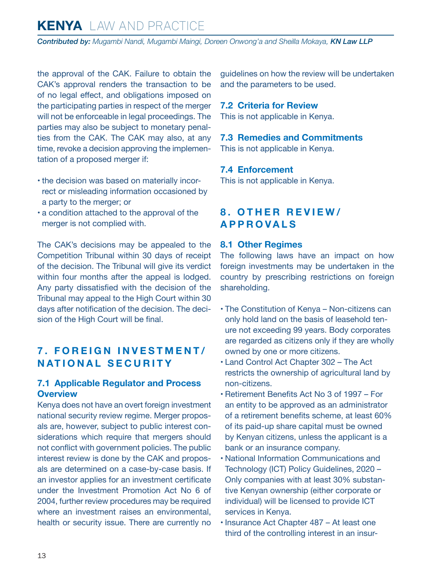<span id="page-12-0"></span>*Contributed by: Mugambi Nandi, Mugambi Maingi, Doreen Onwong'a and Sheilla Mokaya, KN Law LLP*

the approval of the CAK. Failure to obtain the CAK's approval renders the transaction to be of no legal effect, and obligations imposed on the participating parties in respect of the merger will not be enforceable in legal proceedings. The parties may also be subject to monetary penalties from the CAK. The CAK may also, at any time, revoke a decision approving the implementation of a proposed merger if:

- the decision was based on materially incorrect or misleading information occasioned by a party to the merger; or
- a condition attached to the approval of the merger is not complied with.

The CAK's decisions may be appealed to the Competition Tribunal within 30 days of receipt of the decision. The Tribunal will give its verdict within four months after the appeal is lodged. Any party dissatisfied with the decision of the Tribunal may appeal to the High Court within 30 days after notification of the decision. The decision of the High Court will be final.

## **7. FOREIGN INVESTMENT/ NATIONAL SECURITY**

#### **7.1 Applicable Regulator and Process Overview**

Kenya does not have an overt foreign investment national security review regime. Merger proposals are, however, subject to public interest considerations which require that mergers should not conflict with government policies. The public interest review is done by the CAK and proposals are determined on a case-by-case basis. If an investor applies for an investment certificate under the Investment Promotion Act No 6 of 2004, further review procedures may be required where an investment raises an environmental, health or security issue. There are currently no guidelines on how the review will be undertaken and the parameters to be used.

#### **7.2 Criteria for Review**

This is not applicable in Kenya.

#### **7.3 Remedies and Commitments**

This is not applicable in Kenya.

#### **7.4 Enforcement**

This is not applicable in Kenya.

## **8. OTHER REVIEW/ APPROVALS**

#### **8.1 Other Regimes**

The following laws have an impact on how foreign investments may be undertaken in the country by prescribing restrictions on foreign shareholding.

- The Constitution of Kenya Non-citizens can only hold land on the basis of leasehold tenure not exceeding 99 years. Body corporates are regarded as citizens only if they are wholly owned by one or more citizens.
- Land Control Act Chapter 302 The Act restricts the ownership of agricultural land by non-citizens.
- Retirement Benefits Act No 3 of 1997 For an entity to be approved as an administrator of a retirement benefits scheme, at least 60% of its paid-up share capital must be owned by Kenyan citizens, unless the applicant is a bank or an insurance company.
- National Information Communications and Technology (ICT) Policy Guidelines, 2020 – Only companies with at least 30% substantive Kenyan ownership (either corporate or individual) will be licensed to provide ICT services in Kenya.
- Insurance Act Chapter 487 At least one third of the controlling interest in an insur-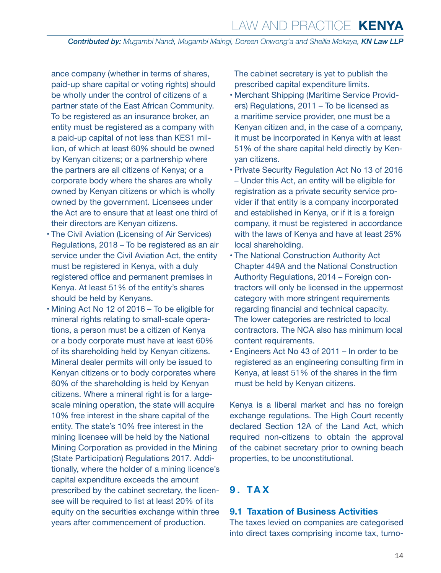<span id="page-13-0"></span>ance company (whether in terms of shares, paid-up share capital or voting rights) should be wholly under the control of citizens of a partner state of the East African Community. To be registered as an insurance broker, an entity must be registered as a company with a paid-up capital of not less than KES1 million, of which at least 60% should be owned by Kenyan citizens; or a partnership where the partners are all citizens of Kenya; or a corporate body where the shares are wholly owned by Kenyan citizens or which is wholly owned by the government. Licensees under the Act are to ensure that at least one third of their directors are Kenyan citizens.

- The Civil Aviation (Licensing of Air Services) Regulations, 2018 – To be registered as an air service under the Civil Aviation Act, the entity must be registered in Kenya, with a duly registered office and permanent premises in Kenya. At least 51% of the entity's shares should be held by Kenyans.
- Mining Act No 12 of 2016 To be eligible for mineral rights relating to small-scale operations, a person must be a citizen of Kenya or a body corporate must have at least 60% of its shareholding held by Kenyan citizens. Mineral dealer permits will only be issued to Kenyan citizens or to body corporates where 60% of the shareholding is held by Kenyan citizens. Where a mineral right is for a largescale mining operation, the state will acquire 10% free interest in the share capital of the entity. The state's 10% free interest in the mining licensee will be held by the National Mining Corporation as provided in the Mining (State Participation) Regulations 2017. Additionally, where the holder of a mining licence's capital expenditure exceeds the amount prescribed by the cabinet secretary, the licensee will be required to list at least 20% of its equity on the securities exchange within three years after commencement of production.

The cabinet secretary is yet to publish the prescribed capital expenditure limits.

- Merchant Shipping (Maritime Service Providers) Regulations, 2011 – To be licensed as a maritime service provider, one must be a Kenyan citizen and, in the case of a company, it must be incorporated in Kenya with at least 51% of the share capital held directly by Kenyan citizens.
- Private Security Regulation Act No 13 of 2016 – Under this Act, an entity will be eligible for registration as a private security service provider if that entity is a company incorporated and established in Kenya, or if it is a foreign company, it must be registered in accordance with the laws of Kenya and have at least 25% local shareholding.
- The National Construction Authority Act Chapter 449A and the National Construction Authority Regulations, 2014 – Foreign contractors will only be licensed in the uppermost category with more stringent requirements regarding financial and technical capacity. The lower categories are restricted to local contractors. The NCA also has minimum local content requirements.
- Engineers Act No 43 of 2011 In order to be registered as an engineering consulting firm in Kenya, at least 51% of the shares in the firm must be held by Kenyan citizens.

Kenya is a liberal market and has no foreign exchange regulations. The High Court recently declared Section 12A of the Land Act, which required non-citizens to obtain the approval of the cabinet secretary prior to owning beach properties, to be unconstitutional.

## **9. TAX**

#### **9.1 Taxation of Business Activities**

The taxes levied on companies are categorised into direct taxes comprising income tax, turno-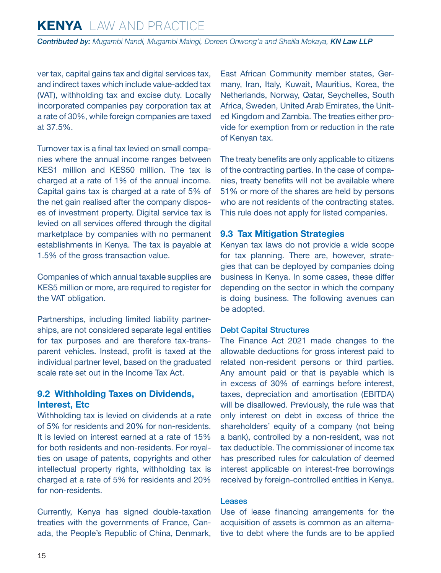<span id="page-14-0"></span>*Contributed by: Mugambi Nandi, Mugambi Maingi, Doreen Onwong'a and Sheilla Mokaya, KN Law LLP*

ver tax, capital gains tax and digital services tax, and indirect taxes which include value-added tax (VAT), withholding tax and excise duty. Locally incorporated companies pay corporation tax at a rate of 30%, while foreign companies are taxed at 37.5%.

Turnover tax is a final tax levied on small companies where the annual income ranges between KES1 million and KES50 million. The tax is charged at a rate of 1% of the annual income. Capital gains tax is charged at a rate of 5% of the net gain realised after the company disposes of investment property. Digital service tax is levied on all services offered through the digital marketplace by companies with no permanent establishments in Kenya. The tax is payable at 1.5% of the gross transaction value.

Companies of which annual taxable supplies are KES5 million or more, are required to register for the VAT obligation.

Partnerships, including limited liability partnerships, are not considered separate legal entities for tax purposes and are therefore tax-transparent vehicles. Instead, profit is taxed at the individual partner level, based on the graduated scale rate set out in the Income Tax Act.

#### **9.2 Withholding Taxes on Dividends, Interest, Etc**

Withholding tax is levied on dividends at a rate of 5% for residents and 20% for non-residents. It is levied on interest earned at a rate of 15% for both residents and non-residents. For royalties on usage of patents, copyrights and other intellectual property rights, withholding tax is charged at a rate of 5% for residents and 20% for non-residents.

Currently, Kenya has signed double-taxation treaties with the governments of France, Canada, the People's Republic of China, Denmark, East African Community member states, Germany, Iran, Italy, Kuwait, Mauritius, Korea, the Netherlands, Norway, Qatar, Seychelles, South Africa, Sweden, United Arab Emirates, the United Kingdom and Zambia. The treaties either provide for exemption from or reduction in the rate of Kenyan tax.

The treaty benefits are only applicable to citizens of the contracting parties. In the case of companies, treaty benefits will not be available where 51% or more of the shares are held by persons who are not residents of the contracting states. This rule does not apply for listed companies.

#### **9.3 Tax Mitigation Strategies**

Kenyan tax laws do not provide a wide scope for tax planning. There are, however, strategies that can be deployed by companies doing business in Kenya. In some cases, these differ depending on the sector in which the company is doing business. The following avenues can be adopted.

#### Debt Capital Structures

The Finance Act 2021 made changes to the allowable deductions for gross interest paid to related non-resident persons or third parties. Any amount paid or that is payable which is in excess of 30% of earnings before interest, taxes, depreciation and amortisation (EBITDA) will be disallowed. Previously, the rule was that only interest on debt in excess of thrice the shareholders' equity of a company (not being a bank), controlled by a non-resident, was not tax deductible. The commissioner of income tax has prescribed rules for calculation of deemed interest applicable on interest-free borrowings received by foreign-controlled entities in Kenya.

#### **Leases**

Use of lease financing arrangements for the acquisition of assets is common as an alternative to debt where the funds are to be applied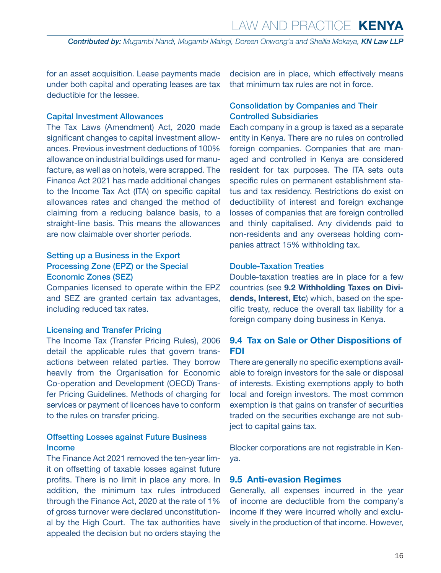<span id="page-15-0"></span>for an asset acquisition. Lease payments made under both capital and operating leases are tax deductible for the lessee.

#### Capital Investment Allowances

The Tax Laws (Amendment) Act, 2020 made significant changes to capital investment allowances. Previous investment deductions of 100% allowance on industrial buildings used for manufacture, as well as on hotels, were scrapped. The Finance Act 2021 has made additional changes to the Income Tax Act (ITA) on specific capital allowances rates and changed the method of claiming from a reducing balance basis, to a straight-line basis. This means the allowances are now claimable over shorter periods.

#### Setting up a Business in the Export Processing Zone (EPZ) or the Special Economic Zones (SEZ)

Companies licensed to operate within the EPZ and SEZ are granted certain tax advantages, including reduced tax rates.

#### Licensing and Transfer Pricing

The Income Tax (Transfer Pricing Rules), 2006 detail the applicable rules that govern transactions between related parties. They borrow heavily from the Organisation for Economic Co-operation and Development (OECD) Transfer Pricing Guidelines. Methods of charging for services or payment of licences have to conform to the rules on transfer pricing.

#### Offsetting Losses against Future Business Income

The Finance Act 2021 removed the ten-year limit on offsetting of taxable losses against future profits. There is no limit in place any more. In addition, the minimum tax rules introduced through the Finance Act, 2020 at the rate of 1% of gross turnover were declared unconstitutional by the High Court. The tax authorities have appealed the decision but no orders staying the

decision are in place, which effectively means that minimum tax rules are not in force.

#### Consolidation by Companies and Their Controlled Subsidiaries

Each company in a group is taxed as a separate entity in Kenya. There are no rules on controlled foreign companies. Companies that are managed and controlled in Kenya are considered resident for tax purposes. The ITA sets outs specific rules on permanent establishment status and tax residency. Restrictions do exist on deductibility of interest and foreign exchange losses of companies that are foreign controlled and thinly capitalised. Any dividends paid to non-residents and any overseas holding companies attract 15% withholding tax.

#### Double-Taxation Treaties

Double-taxation treaties are in place for a few countries (see **9.2 Withholding Taxes on Dividends, Interest, Etc**) which, based on the specific treaty, reduce the overall tax liability for a foreign company doing business in Kenya.

#### **9.4 Tax on Sale or Other Dispositions of FDI**

There are generally no specific exemptions available to foreign investors for the sale or disposal of interests. Existing exemptions apply to both local and foreign investors. The most common exemption is that gains on transfer of securities traded on the securities exchange are not subject to capital gains tax.

Blocker corporations are not registrable in Kenya.

#### **9.5 Anti-evasion Regimes**

Generally, all expenses incurred in the year of income are deductible from the company's income if they were incurred wholly and exclusively in the production of that income. However,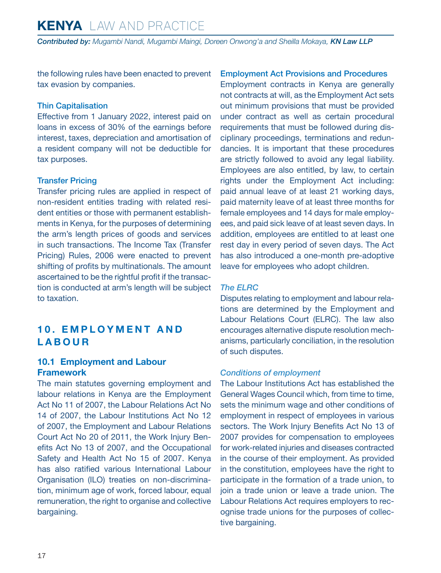<span id="page-16-0"></span>the following rules have been enacted to prevent tax evasion by companies.

#### Thin Capitalisation

Effective from 1 January 2022, interest paid on loans in excess of 30% of the earnings before interest, taxes, depreciation and amortisation of a resident company will not be deductible for tax purposes.

#### Transfer Pricing

Transfer pricing rules are applied in respect of non-resident entities trading with related resident entities or those with permanent establishments in Kenya, for the purposes of determining the arm's length prices of goods and services in such transactions. The Income Tax (Transfer Pricing) Rules, 2006 were enacted to prevent shifting of profits by multinationals. The amount ascertained to be the rightful profit if the transaction is conducted at arm's length will be subject to taxation.

## **1 0 . E M P L O Y M E N T A N D LABOUR**

#### **10.1 Employment and Labour Framework**

The main statutes governing employment and labour relations in Kenya are the Employment Act No 11 of 2007, the Labour Relations Act No 14 of 2007, the Labour Institutions Act No 12 of 2007, the Employment and Labour Relations Court Act No 20 of 2011, the Work Injury Benefits Act No 13 of 2007, and the Occupational Safety and Health Act No 15 of 2007. Kenya has also ratified various International Labour Organisation (ILO) treaties on non-discrimination, minimum age of work, forced labour, equal remuneration, the right to organise and collective bargaining.

#### Employment Act Provisions and Procedures

Employment contracts in Kenya are generally not contracts at will, as the Employment Act sets out minimum provisions that must be provided under contract as well as certain procedural requirements that must be followed during disciplinary proceedings, terminations and redundancies. It is important that these procedures are strictly followed to avoid any legal liability. Employees are also entitled, by law, to certain rights under the Employment Act including: paid annual leave of at least 21 working days, paid maternity leave of at least three months for female employees and 14 days for male employees, and paid sick leave of at least seven days. In addition, employees are entitled to at least one rest day in every period of seven days. The Act has also introduced a one-month pre-adoptive leave for employees who adopt children.

#### *The ELRC*

Disputes relating to employment and labour relations are determined by the Employment and Labour Relations Court (ELRC). The law also encourages alternative dispute resolution mechanisms, particularly conciliation, in the resolution of such disputes.

#### *Conditions of employment*

The Labour Institutions Act has established the General Wages Council which, from time to time, sets the minimum wage and other conditions of employment in respect of employees in various sectors. The Work Injury Benefits Act No 13 of 2007 provides for compensation to employees for work-related injuries and diseases contracted in the course of their employment. As provided in the constitution, employees have the right to participate in the formation of a trade union, to join a trade union or leave a trade union. The Labour Relations Act requires employers to recognise trade unions for the purposes of collective bargaining.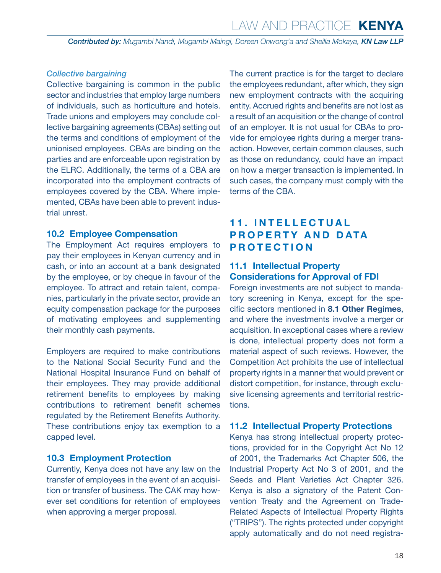#### <span id="page-17-0"></span>*Collective bargaining*

Collective bargaining is common in the public sector and industries that employ large numbers of individuals, such as horticulture and hotels. Trade unions and employers may conclude collective bargaining agreements (CBAs) setting out the terms and conditions of employment of the unionised employees. CBAs are binding on the parties and are enforceable upon registration by the ELRC. Additionally, the terms of a CBA are incorporated into the employment contracts of employees covered by the CBA. Where implemented, CBAs have been able to prevent industrial unrest.

#### **10.2 Employee Compensation**

The Employment Act requires employers to pay their employees in Kenyan currency and in cash, or into an account at a bank designated by the employee, or by cheque in favour of the employee. To attract and retain talent, companies, particularly in the private sector, provide an equity compensation package for the purposes of motivating employees and supplementing their monthly cash payments.

Employers are required to make contributions to the National Social Security Fund and the National Hospital Insurance Fund on behalf of their employees. They may provide additional retirement benefits to employees by making contributions to retirement benefit schemes regulated by the Retirement Benefits Authority. These contributions enjoy tax exemption to a capped level.

#### **10.3 Employment Protection**

Currently, Kenya does not have any law on the transfer of employees in the event of an acquisition or transfer of business. The CAK may however set conditions for retention of employees when approving a merger proposal.

The current practice is for the target to declare the employees redundant, after which, they sign new employment contracts with the acquiring entity. Accrued rights and benefits are not lost as a result of an acquisition or the change of control of an employer. It is not usual for CBAs to provide for employee rights during a merger transaction. However, certain common clauses, such as those on redundancy, could have an impact on how a merger transaction is implemented. In such cases, the company must comply with the terms of the CBA.

## **1 1 . I N T E L L E C T U A L PROPERTY AND DATA PROTECTION**

#### **11.1 Intellectual Property Considerations for Approval of FDI**

Foreign investments are not subject to mandatory screening in Kenya, except for the specific sectors mentioned in **8.1 Other Regimes**, and where the investments involve a merger or acquisition. In exceptional cases where a review is done, intellectual property does not form a material aspect of such reviews. However, the Competition Act prohibits the use of intellectual property rights in a manner that would prevent or distort competition, for instance, through exclusive licensing agreements and territorial restrictions.

#### **11.2 Intellectual Property Protections**

Kenya has strong intellectual property protections, provided for in the Copyright Act No 12 of 2001, the Trademarks Act Chapter 506, the Industrial Property Act No 3 of 2001, and the Seeds and Plant Varieties Act Chapter 326. Kenya is also a signatory of the Patent Convention Treaty and the Agreement on Trade-Related Aspects of Intellectual Property Rights ("TRIPS"). The rights protected under copyright apply automatically and do not need registra-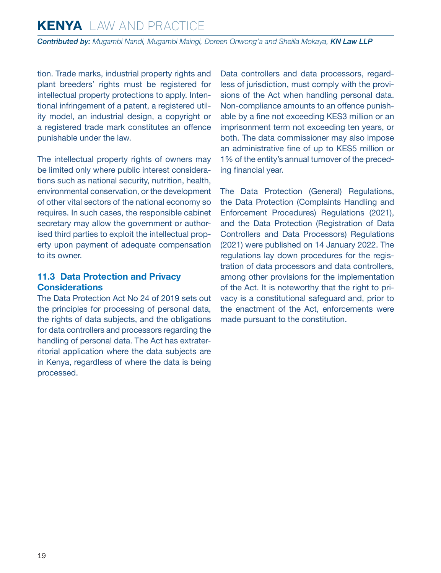<span id="page-18-0"></span>*Contributed by: Mugambi Nandi, Mugambi Maingi, Doreen Onwong'a and Sheilla Mokaya, KN Law LLP*

tion. Trade marks, industrial property rights and plant breeders' rights must be registered for intellectual property protections to apply. Intentional infringement of a patent, a registered utility model, an industrial design, a copyright or a registered trade mark constitutes an offence punishable under the law.

The intellectual property rights of owners may be limited only where public interest considerations such as national security, nutrition, health, environmental conservation, or the development of other vital sectors of the national economy so requires. In such cases, the responsible cabinet secretary may allow the government or authorised third parties to exploit the intellectual property upon payment of adequate compensation to its owner.

#### **11.3 Data Protection and Privacy Considerations**

The Data Protection Act No 24 of 2019 sets out the principles for processing of personal data, the rights of data subjects, and the obligations for data controllers and processors regarding the handling of personal data. The Act has extraterritorial application where the data subjects are in Kenya, regardless of where the data is being processed.

Data controllers and data processors, regardless of jurisdiction, must comply with the provisions of the Act when handling personal data. Non-compliance amounts to an offence punishable by a fine not exceeding KES3 million or an imprisonment term not exceeding ten years, or both. The data commissioner may also impose an administrative fine of up to KES5 million or 1% of the entity's annual turnover of the preceding financial year.

The Data Protection (General) Regulations, the Data Protection (Complaints Handling and Enforcement Procedures) Regulations (2021), and the Data Protection (Registration of Data Controllers and Data Processors) Regulations (2021) were published on 14 January 2022. The regulations lay down procedures for the registration of data processors and data controllers, among other provisions for the implementation of the Act. It is noteworthy that the right to privacy is a constitutional safeguard and, prior to the enactment of the Act, enforcements were made pursuant to the constitution.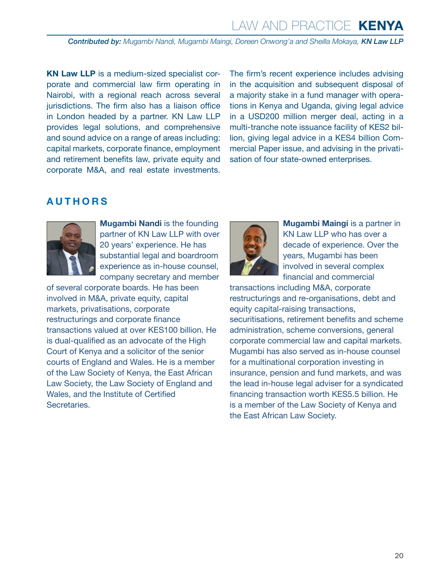# Law and Practice **KENYA**

*Contributed by: Mugambi Nandi, Mugambi Maingi, Doreen Onwong'a and Sheilla Mokaya, KN Law LLP*

**KN Law LLP** is a medium-sized specialist corporate and commercial law firm operating in Nairobi, with a regional reach across several jurisdictions. The firm also has a liaison office in London headed by a partner. KN Law LLP provides legal solutions, and comprehensive and sound advice on a range of areas including: capital markets, corporate finance, employment and retirement benefits law, private equity and corporate M&A, and real estate investments. The firm's recent experience includes advising in the acquisition and subsequent disposal of a majority stake in a fund manager with operations in Kenya and Uganda, giving legal advice in a USD200 million merger deal, acting in a multi-tranche note issuance facility of KES2 billion, giving legal advice in a KES4 billion Commercial Paper issue, and advising in the privatisation of four state-owned enterprises.

## <span id="page-19-0"></span>**AUTHORS**



**Mugambi Nandi is the founding** partner of KN Law LLP with over 20 years' experience. He has substantial legal and boardroom experience as in-house counsel, company secretary and member

of several corporate boards. He has been involved in M&A, private equity, capital markets, privatisations, corporate restructurings and corporate finance transactions valued at over KES100 billion. He is dual-qualified as an advocate of the High Court of Kenya and a solicitor of the senior courts of England and Wales. He is a member of the Law Society of Kenya, the East African Law Society, the Law Society of England and Wales, and the Institute of Certified Secretaries.



**Mugambi Maingi is a partner in** KN Law LLP who has over a decade of experience. Over the years, Mugambi has been involved in several complex financial and commercial

transactions including M&A, corporate restructurings and re-organisations, debt and equity capital-raising transactions, securitisations, retirement benefits and scheme administration, scheme conversions, general corporate commercial law and capital markets. Mugambi has also served as in-house counsel for a multinational corporation investing in insurance, pension and fund markets, and was the lead in-house legal adviser for a syndicated financing transaction worth KES5.5 billion. He is a member of the Law Society of Kenya and the East African Law Society.